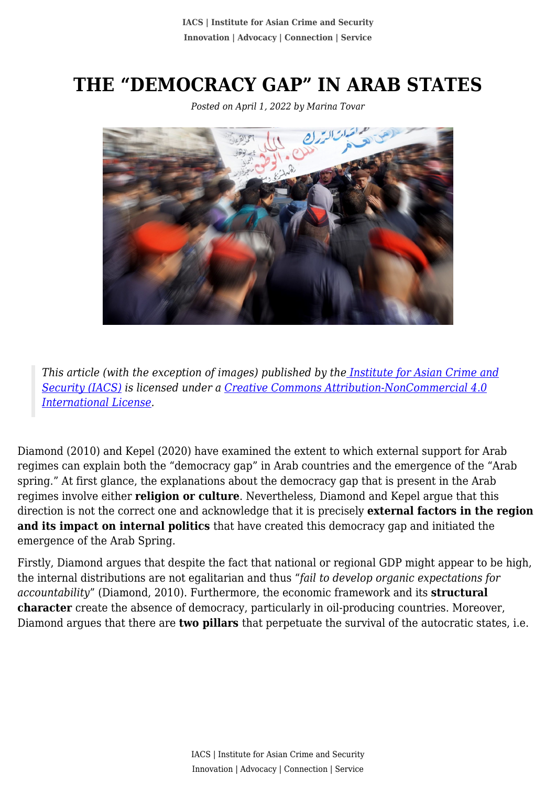## **THE "DEMOCRACY GAP" IN ARAB STATES**

*Posted on April 1, 2022 by Marina Tovar*



*This article (with the exception of images) published by th[e Institute for Asian Crime and](http://www.theiacs.org) [Security \(IACS\)](http://www.theiacs.org) is licensed under a [Creative Commons Attribution-NonCommercial 4.0](http://creativecommons.org/licenses/by-nc/4.0/) [International License](http://creativecommons.org/licenses/by-nc/4.0/).*

Diamond (2010) and Kepel (2020) have examined the extent to which external support for Arab regimes can explain both the "democracy gap" in Arab countries and the emergence of the "Arab spring." At first glance, the explanations about the democracy gap that is present in the Arab regimes involve either **religion or culture**. Nevertheless, Diamond and Kepel argue that this direction is not the correct one and acknowledge that it is precisely **external factors in the region and its impact on internal politics** that have created this democracy gap and initiated the emergence of the Arab Spring.

Firstly, Diamond argues that despite the fact that national or regional GDP might appear to be high, the internal distributions are not egalitarian and thus "*fail to develop organic expectations for accountability*" (Diamond, 2010). Furthermore, the economic framework and its **structural character** create the absence of democracy, particularly in oil-producing countries. Moreover, Diamond argues that there are **two pillars** that perpetuate the survival of the autocratic states, i.e.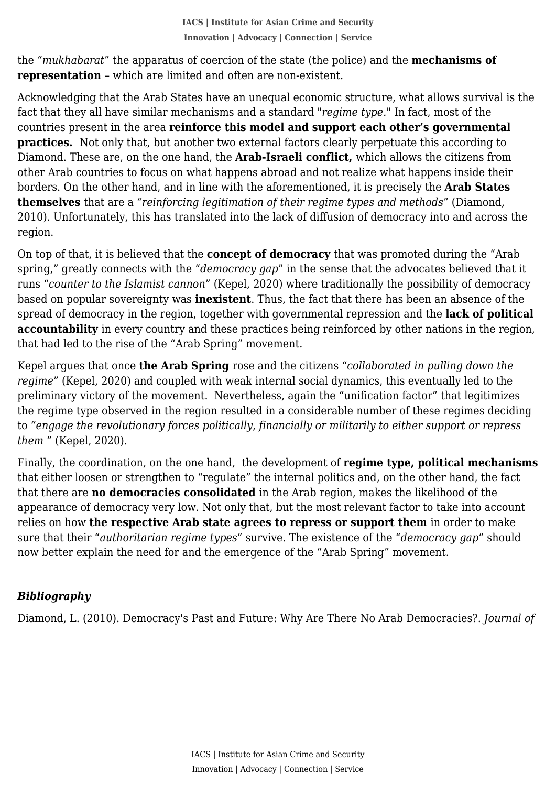**representation** – which are limited and often are non-existent. the "*mukhabarat*" the apparatus of coercion of the state (the police) and the **mechanisms of**

Acknowledging that the Arab States have an unequal economic structure, what allows survival is the fact that they all have similar mechanisms and a standard "*regime type.*" In fact, most of the countries present in the area **reinforce this model and support each other's governmental practices.** Not only that, but another two external factors clearly perpetuate this according to Diamond. These are, on the one hand, the **Arab-Israeli conflict,** which allows the citizens from other Arab countries to focus on what happens abroad and not realize what happens inside their borders. On the other hand, and in line with the aforementioned, it is precisely the **Arab States themselves** that are a *"reinforcing legitimation of their regime types and methods*" (Diamond, 2010). Unfortunately, this has translated into the lack of diffusion of democracy into and across the region.

On top of that, it is believed that the **concept of democracy** that was promoted during the "Arab spring," greatly connects with the "*democracy gap*" in the sense that the advocates believed that it runs "*counter to the Islamist cannon*" (Kepel, 2020) where traditionally the possibility of democracy based on popular sovereignty was **inexistent**. Thus, the fact that there has been an absence of the spread of democracy in the region, together with governmental repression and the **lack of political accountability** in every country and these practices being reinforced by other nations in the region, that had led to the rise of the "Arab Spring" movement.

Kepel argues that once **the Arab Spring** rose and the citizens "*collaborated in pulling down the regime*" (Kepel, 2020) and coupled with weak internal social dynamics, this eventually led to the preliminary victory of the movement. Nevertheless, again the "unification factor" that legitimizes the regime type observed in the region resulted in a considerable number of these regimes deciding to *"engage the revolutionary forces politically, financially or militarily to either support or repress them* " (Kepel, 2020).

Finally, the coordination, on the one hand, the development of **regime type, political mechanisms** that either loosen or strengthen to "regulate" the internal politics and, on the other hand, the fact that there are **no democracies consolidated** in the Arab region, makes the likelihood of the appearance of democracy very low. Not only that, but the most relevant factor to take into account relies on how **the respective Arab state agrees to repress or support them** in order to make sure that their "*authoritarian regime types*" survive. The existence of the "*democracy gap*" should now better explain the need for and the emergence of the "Arab Spring" movement.

## *Bibliography*

Diamond, L. (2010). Democracy's Past and Future: Why Are There No Arab Democracies?. *Journal of*